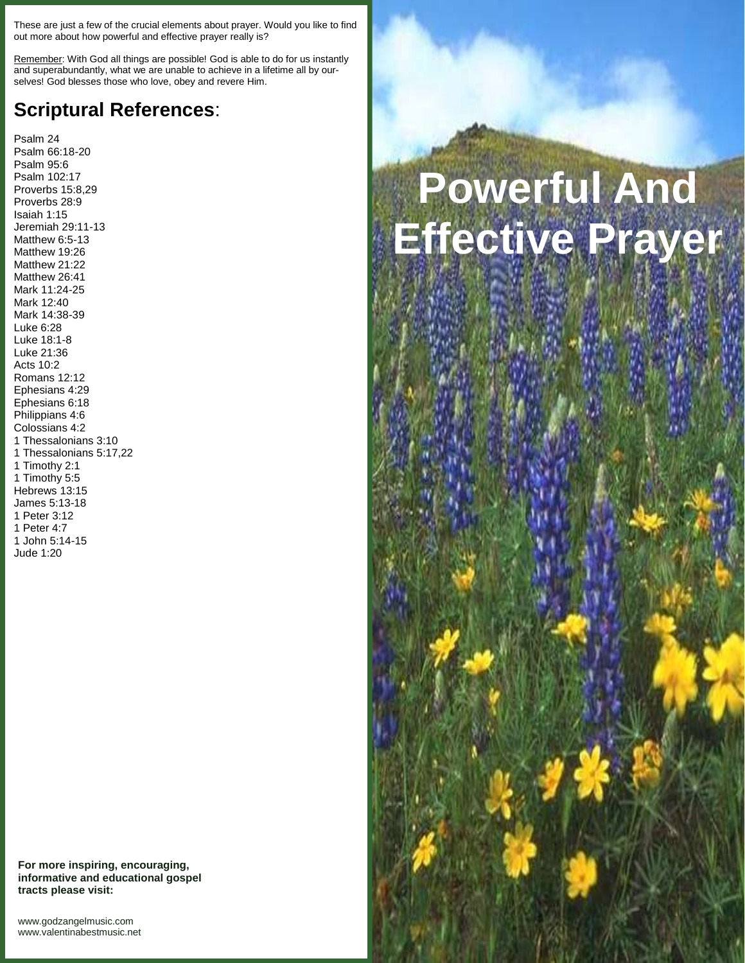These are just a few of the crucial elements about prayer. Would you like to find out more about how powerful and effective prayer really is?

Remember: With God all things are possible! God is able to do for us instantly and superabundantly, what we are unable to achieve in a lifetime all by our selves! God blesses those who love, obey and revere Him.

## **Scriptural References**:

Psalm 24 Psalm 66:18-20 Psalm 95:6 Psalm 102:17 Proverbs 15:8,29 Proverbs 28:9 Isaiah 1:15 Jeremiah 29:11-13 Matthew 6:5-13 Matthew 19:26 Matthew 21:22 Matthew 26:41 Mark 11:24-25 Mark 12:40 Mark 14:38-39 Luke 6:28 Luke 18:1-8 Luke 21:36 Acts 10:2 Romans 12:12 Ephesians 4:29 Ephesians 6:18 Philippians 4:6 Colossians 4:2 1 Thessalonians 3:10 1 Thessalonians 5:17,22 1 Timothy 2:1 1 Timothy 5:5 Hebrews 13:15 James 5:13-18 1 Peter 3:12 1 Peter 4:7 1 John 5:14-15 Jude 1:20

## **For more inspiring, encouraging, informative and educational gospel tracts please visit:**

## **Powerful And Effective Prayer**

<www.godzangelmusic.com> <www.valentinabestmusic.net>